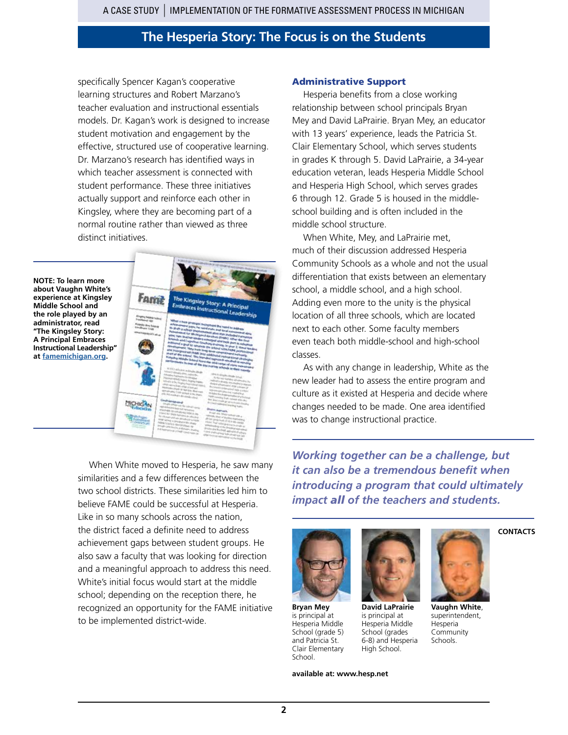specifically Spencer Kagan's cooperative learning structures and Robert Marzano's teacher evaluation and instructional essentials models. Dr. Kagan's work is designed to increase student motivation and engagement by the effective, structured use of cooperative learning. Dr. Marzano's research has identified ways in which teacher assessment is connected with student performance. These three initiatives actually support and reinforce each other in Kingsley, where they are becoming part of a normal routine rather than viewed as three distinct initiatives.

**NOTE: To learn more about Vaughn White's experience at Kingsley Middle School and the role played by an administrator, read "The Kingsley Story: A Principal Embraces Instructional Leadership" at [famemichigan.org](http://www.famemichigan.org).**



When White moved to Hesperia, he saw many similarities and a few differences between the two school districts. These similarities led him to believe FAME could be successful at Hesperia. Like in so many schools across the nation, the district faced a definite need to address achievement gaps between student groups. He also saw a faculty that was looking for direction and a meaningful approach to address this need. White's initial focus would start at the middle school; depending on the reception there, he recognized an opportunity for the FAME initiative to be implemented district-wide.

### Administrative Support

Hesperia benefits from a close working relationship between school principals Bryan Mey and David LaPrairie. Bryan Mey, an educator with 13 years' experience, leads the Patricia St. Clair Elementary School, which serves students in grades K through 5. David LaPrairie, a 34-year education veteran, leads Hesperia Middle School and Hesperia High School, which serves grades 6 through 12. Grade 5 is housed in the middleschool building and is often included in the middle school structure.

When White, Mey, and LaPrairie met, much of their discussion addressed Hesperia Community Schools as a whole and not the usual differentiation that exists between an elementary school, a middle school, and a high school. Adding even more to the unity is the physical location of all three schools, which are located next to each other. Some faculty members even teach both middle-school and high-school classes.

As with any change in leadership, White as the new leader had to assess the entire program and culture as it existed at Hesperia and decide where changes needed to be made. One area identified was to change instructional practice.

*Working together can be a challenge, but it can also be a tremendous benefit when introducing a program that could ultimately impact all of the teachers and students.* 



**Bryan Mey** is principal at Hesperia Middle School (grade 5) and Patricia St. Clair Elementary School.

**David LaPrairie** is principal at Hesperia Middle School (grades 6-8) and Hesperia High School.

Hesperia Community Schools.

**CONTACTS**



**Vaughn White**, superintendent,

**available at: [www.](http://www.muskegonisd.org)hesp.net**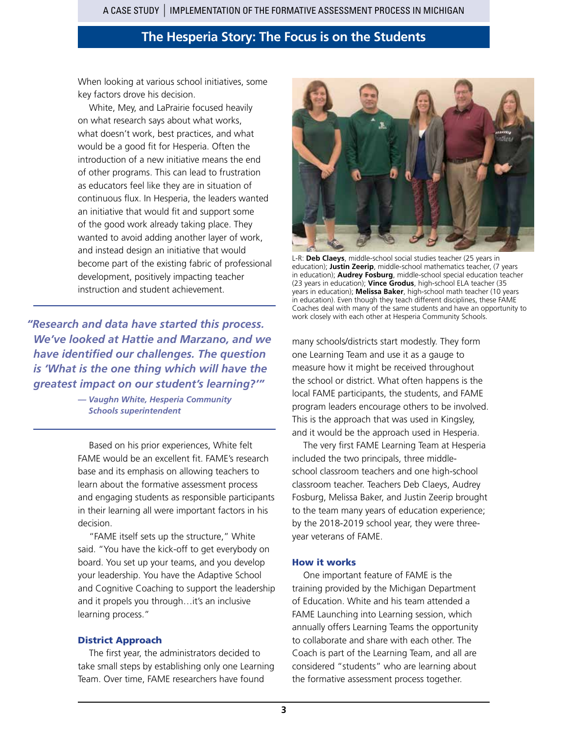When looking at various school initiatives, some key factors drove his decision.

White, Mey, and LaPrairie focused heavily on what research says about what works, what doesn't work, best practices, and what would be a good fit for Hesperia. Often the introduction of a new initiative means the end of other programs. This can lead to frustration as educators feel like they are in situation of continuous flux. In Hesperia, the leaders wanted an initiative that would fit and support some of the good work already taking place. They wanted to avoid adding another layer of work, and instead design an initiative that would become part of the existing fabric of professional development, positively impacting teacher instruction and student achievement.

*"Research and data have started this process. We've looked at Hattie and Marzano, and we have identified our challenges. The question is 'What is the one thing which will have the greatest impact on our student's learning?'"* 

> *— Vaughn White, Hesperia Community Schools superintendent*

Based on his prior experiences, White felt FAME would be an excellent fit. FAME's research base and its emphasis on allowing teachers to learn about the formative assessment process and engaging students as responsible participants in their learning all were important factors in his decision.

"FAME itself sets up the structure," White said. "You have the kick-off to get everybody on board. You set up your teams, and you develop your leadership. You have the Adaptive School and Cognitive Coaching to support the leadership and it propels you through…it's an inclusive learning process."

#### District Approach

The first year, the administrators decided to take small steps by establishing only one Learning Team. Over time, FAME researchers have found



L-R: **Deb Claeys**, middle-school social studies teacher (25 years in education); **Justin Zeerip**, middle-school mathematics teacher, (7 years in education); **Audrey Fosburg**, middle-school special education teacher (23 years in education); **Vince Grodus**, high-school ELA teacher (35 years in education); **Melissa Baker**, high-school math teacher (10 years in education). Even though they teach different disciplines, these FAME Coaches deal with many of the same students and have an opportunity to work closely with each other at Hesperia Community Schools.

many schools/districts start modestly. They form one Learning Team and use it as a gauge to measure how it might be received throughout the school or district. What often happens is the local FAME participants, the students, and FAME program leaders encourage others to be involved. This is the approach that was used in Kingsley, and it would be the approach used in Hesperia.

The very first FAME Learning Team at Hesperia included the two principals, three middleschool classroom teachers and one high-school classroom teacher. Teachers Deb Claeys, Audrey Fosburg, Melissa Baker, and Justin Zeerip brought to the team many years of education experience; by the 2018-2019 school year, they were threeyear veterans of FAME.

#### How it works

One important feature of FAME is the training provided by the Michigan Department of Education. White and his team attended a FAME Launching into Learning session, which annually offers Learning Teams the opportunity to collaborate and share with each other. The Coach is part of the Learning Team, and all are considered "students" who are learning about the formative assessment process together.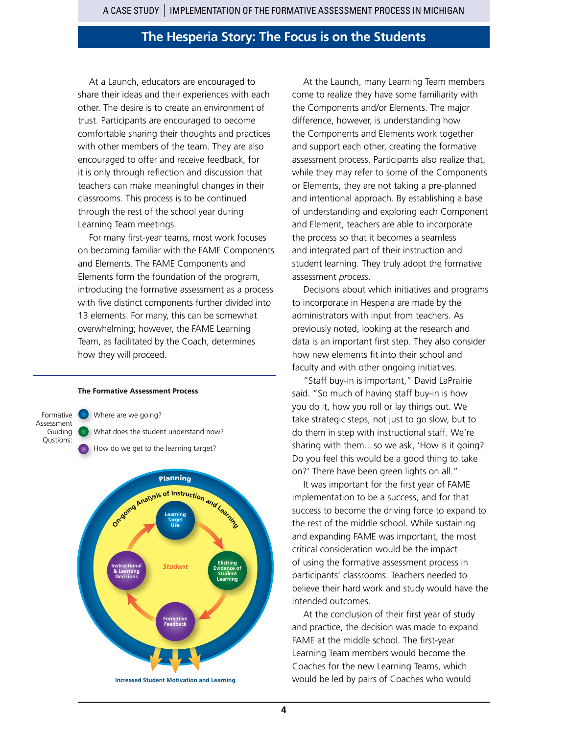At a Launch, educators are encouraged to share their ideas and their experiences with each other. The desire is to create an environment of trust. Participants are encouraged to become comfortable sharing their thoughts and practices with other members of the team. They are also encouraged to offer and receive feedback, for it is only through reflection and discussion that teachers can make meaningful changes in their classrooms. This process is to be continued through the rest of the school year during Learning Team meetings.

For many first-year teams, most work focuses on becoming familiar with the FAME Components and Elements. The FAME Components and Elements form the foundation of the program, introducing the formative assessment as a process with five distinct components further divided into 13 elements. For many, this can be somewhat overwhelming; however, the FAME Learning Team, as facilitated by the Coach, determines how they will proceed.

#### **The Formative Assessment Process**

Formative Assessment Guiding Qustions: Where are we going? What does the student understand now? How do we get to the learning target?



At the Launch, many Learning Team members come to realize they have some familiarity with the Components and/or Elements. The major difference, however, is understanding how the Components and Elements work together and support each other, creating the formative assessment process. Participants also realize that, while they may refer to some of the Components or Elements, they are not taking a pre-planned and intentional approach. By establishing a base of understanding and exploring each Component and Element, teachers are able to incorporate the process so that it becomes a seamless and integrated part of their instruction and student learning. They truly adopt the formative assessment *process*.

Decisions about which initiatives and programs to incorporate in Hesperia are made by the administrators with input from teachers. As previously noted, looking at the research and data is an important first step. They also consider how new elements fit into their school and faculty and with other ongoing initiatives.

"Staff buy-in is important," David LaPrairie said. "So much of having staff buy-in is how you do it, how you roll or lay things out. We take strategic steps, not just to go slow, but to do them in step with instructional staff. We're sharing with them…so we ask, 'How is it going? Do you feel this would be a good thing to take on?' There have been green lights on all."

It was important for the first year of FAME implementation to be a success, and for that success to become the driving force to expand to the rest of the middle school. While sustaining and expanding FAME was important, the most critical consideration would be the impact of using the formative assessment process in participants' classrooms. Teachers needed to believe their hard work and study would have the intended outcomes.

At the conclusion of their first year of study and practice, the decision was made to expand FAME at the middle school. The first-year Learning Team members would become the Coaches for the new Learning Teams, which would be led by pairs of Coaches who would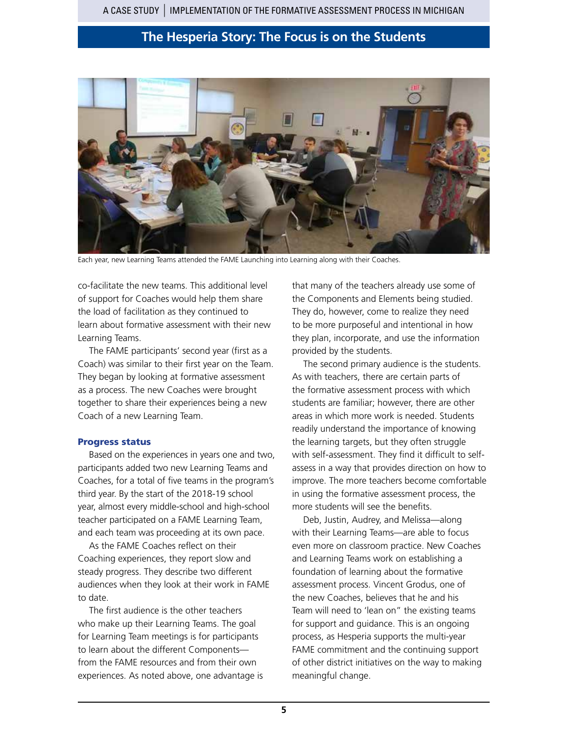

Each year, new Learning Teams attended the FAME Launching into Learning along with their Coaches.

co-facilitate the new teams. This additional level of support for Coaches would help them share the load of facilitation as they continued to learn about formative assessment with their new Learning Teams.

The FAME participants' second year (first as a Coach) was similar to their first year on the Team. They began by looking at formative assessment as a process. The new Coaches were brought together to share their experiences being a new Coach of a new Learning Team.

#### Progress status

Based on the experiences in years one and two, participants added two new Learning Teams and Coaches, for a total of five teams in the program's third year. By the start of the 2018-19 school year, almost every middle-school and high-school teacher participated on a FAME Learning Team, and each team was proceeding at its own pace.

As the FAME Coaches reflect on their Coaching experiences, they report slow and steady progress. They describe two different audiences when they look at their work in FAME to date.

The first audience is the other teachers who make up their Learning Teams. The goal for Learning Team meetings is for participants to learn about the different Components from the FAME resources and from their own experiences. As noted above, one advantage is that many of the teachers already use some of the Components and Elements being studied. They do, however, come to realize they need to be more purposeful and intentional in how they plan, incorporate, and use the information provided by the students.

The second primary audience is the students. As with teachers, there are certain parts of the formative assessment process with which students are familiar; however, there are other areas in which more work is needed. Students readily understand the importance of knowing the learning targets, but they often struggle with self-assessment. They find it difficult to selfassess in a way that provides direction on how to improve. The more teachers become comfortable in using the formative assessment process, the more students will see the benefits.

Deb, Justin, Audrey, and Melissa—along with their Learning Teams—are able to focus even more on classroom practice. New Coaches and Learning Teams work on establishing a foundation of learning about the formative assessment process. Vincent Grodus, one of the new Coaches, believes that he and his Team will need to 'lean on" the existing teams for support and guidance. This is an ongoing process, as Hesperia supports the multi-year FAME commitment and the continuing support of other district initiatives on the way to making meaningful change.

**5**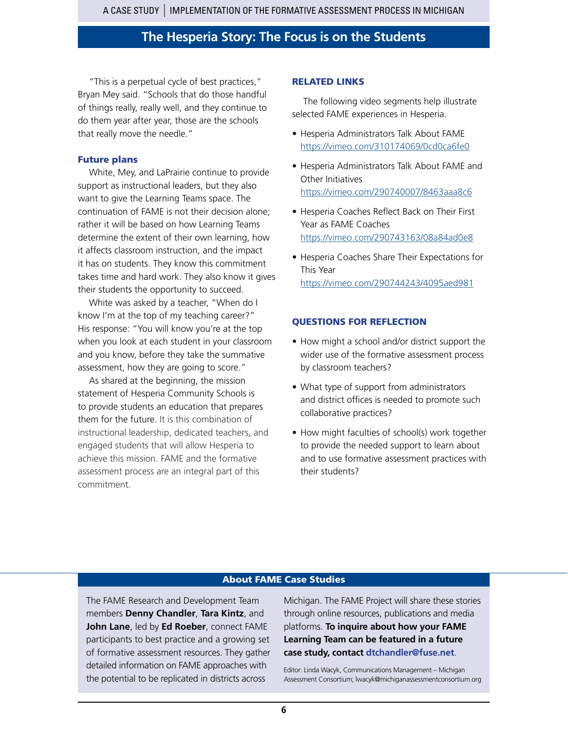"This is a perpetual cycle of best practices," Bryan Mey said. "Schools that do those handful of things really, really well, and they continue to do them year after year, those are the schools that really move the needle."

#### Future plans

White, Mey, and LaPrairie continue to provide support as instructional leaders, but they also want to give the Learning Teams space. The continuation of FAME is not their decision alone; rather it will be based on how Learning Teams determine the extent of their own learning, how it affects classroom instruction, and the impact it has on students. They know this commitment takes time and hard work. They also know it gives their students the opportunity to succeed.

White was asked by a teacher, "When do I know I'm at the top of my teaching career?" His response: "You will know you're at the top when you look at each student in your classroom and you know, before they take the summative assessment, how they are going to score."

As shared at the beginning, the mission statement of Hesperia Community Schools is to provide students an education that prepares them for the future. It is this combination of instructional leadership, dedicated teachers, and engaged students that will allow Hesperia to achieve this mission. FAME and the formative assessment process are an integral part of this commitment.

#### RELATED LINKS

The following video segments help illustrate selected FAME experiences in Hesperia.

- Hesperia Administrators Talk About FAME <https://vimeo.com/310174069/0cd0ca6fe0>
- Hesperia Administrators Talk About FAME and Other Initiatives <https://vimeo.com/290740007/8463aaa8c6>
- Hesperia Coaches Reflect Back on Their First Year as FAME Coaches <https://vimeo.com/290743163/08a84ad0e8>
- Hesperia Coaches Share Their Expectations for This Year <https://vimeo.com/290744243/4095aed981>

### QUESTIONS FOR REFLECTION

- How might a school and/or district support the wider use of the formative assessment process by classroom teachers?
- What type of support from administrators and district offices is needed to promote such collaborative practices?
- How might faculties of school(s) work together to provide the needed support to learn about and to use formative assessment practices with their students?

### About FAME Case Studies

The FAME Research and Development Team members **Denny Chandler**, **Tara Kintz**, and **John Lane**, led by **Ed Roeber**, connect FAME participants to best practice and a growing set of formative assessment resources. They gather detailed information on FAME approaches with the potential to be replicated in districts across

Michigan. The FAME Project will share these stories through online resources, publications and media platforms. **To inquire about how your FAME Learning Team can be featured in a future case study, contact dtchandler@fuse.net**.

Editor: Linda Wacyk, Communications Management – Michigan Assessment Consortium; lwacyk@michiganassessmentconsortium.org